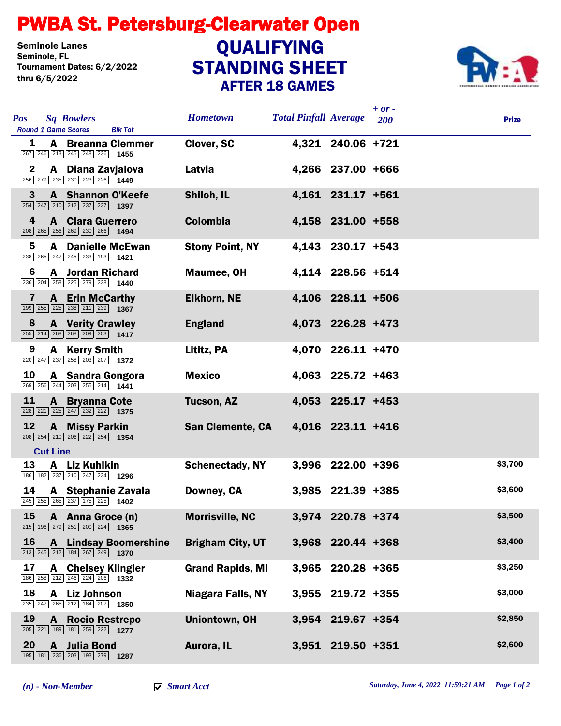## STANDING SHEET PWBA St. Petersburg-Clearwater Open AFTER 18 GAMES Seminole Lanes<br>Seminole, FL Tournament Dates: 6/2/2022 thru 6/5/2022 **QUALIFYING**



| <b>Pos</b><br><b>Sq Bowlers</b><br><b>Round 1 Game Scores</b><br><b>Blk Tot</b>                                                       | <b>Hometown</b>          | <b>Total Pinfall Average</b> | $+ or -$<br>200     | <b>Prize</b> |
|---------------------------------------------------------------------------------------------------------------------------------------|--------------------------|------------------------------|---------------------|--------------|
| 1<br><b>A</b> Breanna Clemmer<br>267 246 213 245 248 236 1455                                                                         | Clover, SC               |                              | 4,321 240.06 +721   |              |
| A Diana Zavjalova<br>$\mathbf{2}$<br>256 279 235 230 223 226 1449                                                                     | Latvia                   |                              | 4,266 237.00 +666   |              |
| 3<br><b>A</b> Shannon O'Keefe<br>$\boxed{254}$ $\boxed{247}$ $\boxed{210}$ $\boxed{212}$ $\boxed{237}$ $\boxed{237}$ <b>1397</b>      | Shiloh, IL               |                              | 4,161 231.17 +561   |              |
| 4<br><b>A</b> Clara Guerrero<br>208 265 256 269 230 266 1494                                                                          | <b>Colombia</b>          |                              | 4,158 231.00 +558   |              |
| 5<br><b>A</b> Danielle McEwan                                                                                                         | <b>Stony Point, NY</b>   |                              | 4,143 230.17 +543   |              |
| 6<br><b>A</b> Jordan Richard<br>236 204 258 225 279 238 1440                                                                          | Maumee, OH               |                              | 4,114 228.56 +514   |              |
| <b>A</b> Erin McCarthy<br>7<br>$\boxed{199}$ $\boxed{255}$ $\boxed{225}$ $\boxed{238}$ $\boxed{211}$ $\boxed{239}$ <b>1367</b>        | <b>Elkhorn, NE</b>       |                              | 4,106 228.11 +506   |              |
| <b>A</b> Verity Crawley<br>8<br>$\boxed{255}$ $\boxed{214}$ $\boxed{268}$ $\boxed{268}$ $\boxed{209}$ $\boxed{203}$ <b>1417</b>       | <b>England</b>           |                              | 4,073 226.28 +473   |              |
| 9<br>A Kerry Smith<br>$\boxed{220}$ $\boxed{247}$ $\boxed{237}$ $\boxed{258}$ $\boxed{203}$ $\boxed{207}$ <b>1372</b>                 | Lititz, PA               |                              | 4,070 226.11 +470   |              |
| 10<br>A Sandra Gongora<br>269 256 244 203 255 214 1441                                                                                | <b>Mexico</b>            |                              | 4,063 225.72 +463   |              |
| <u>11</u><br><b>A</b> Bryanna Cote                                                                                                    | Tucson, AZ               |                              | 4,053 225.17 +453   |              |
| 12<br><b>A</b> Missy Parkin<br>208 254 210 206 222 254 1354<br><b>Cut Line</b>                                                        | <b>San Clemente, CA</b>  |                              | 4,016 223.11 +416   |              |
| 13<br>A Liz Kuhlkin<br>186 182 237 210 247 234 1296                                                                                   | <b>Schenectady, NY</b>   |                              | 3,996 222.00 +396   | \$3,700      |
| 14<br>A Stephanie Zavala<br>245 255 265 237 175 225 1402                                                                              | Downey, CA               |                              | 3,985 221.39 +385   | \$3,600      |
| 15 A Anna Groce (n)<br>$\boxed{215}$ 196 $\boxed{279}$ $\boxed{251}$ $\boxed{200}$ $\boxed{224}$ 1365                                 | <b>Morrisville, NC</b>   |                              | 3,974 220.78 +374   | \$3,500      |
| 16<br><b>A</b> Lindsay Boomershine<br>$\boxed{213}$ $\boxed{245}$ $\boxed{212}$ $\boxed{184}$ $\boxed{267}$ $\boxed{249}$ <b>1370</b> | <b>Brigham City, UT</b>  |                              | 3,968 220.44 +368   | \$3,400      |
| 17<br><b>A</b> Chelsey Klingler<br>186 258 212 246 224 206 1332                                                                       | <b>Grand Rapids, MI</b>  |                              | 3,965 220.28 +365   | \$3,250      |
| 18<br>A Liz Johnson<br>235 247 265 212 184 207 1350                                                                                   | <b>Niagara Falls, NY</b> |                              | $3,955$ 219.72 +355 | \$3,000      |
| 19<br><b>Rocio Restrepo</b><br>A<br>205 221 189 181 259 222 1277                                                                      | <b>Uniontown, OH</b>     |                              | 3,954 219.67 +354   | \$2,850      |
| 20<br>A Julia Bond<br>195 181 236 203 193 279 1287                                                                                    | Aurora, IL               |                              | 3,951 219.50 +351   | \$2,600      |